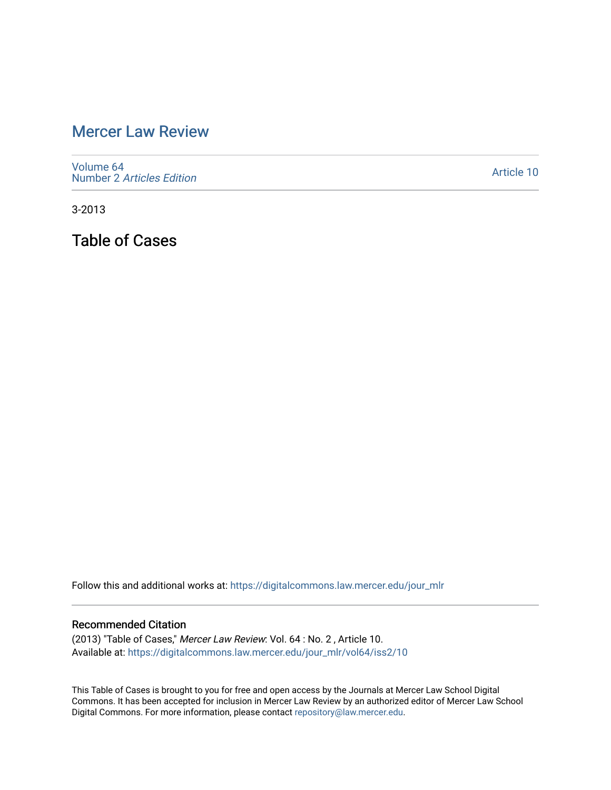### [Mercer Law Review](https://digitalcommons.law.mercer.edu/jour_mlr)

[Volume 64](https://digitalcommons.law.mercer.edu/jour_mlr/vol64) Number 2 [Articles Edition](https://digitalcommons.law.mercer.edu/jour_mlr/vol64/iss2) 

[Article 10](https://digitalcommons.law.mercer.edu/jour_mlr/vol64/iss2/10) 

3-2013

Table of Cases

Follow this and additional works at: [https://digitalcommons.law.mercer.edu/jour\\_mlr](https://digitalcommons.law.mercer.edu/jour_mlr?utm_source=digitalcommons.law.mercer.edu%2Fjour_mlr%2Fvol64%2Fiss2%2F10&utm_medium=PDF&utm_campaign=PDFCoverPages)

#### Recommended Citation

(2013) "Table of Cases," Mercer Law Review: Vol. 64 : No. 2 , Article 10. Available at: [https://digitalcommons.law.mercer.edu/jour\\_mlr/vol64/iss2/10](https://digitalcommons.law.mercer.edu/jour_mlr/vol64/iss2/10?utm_source=digitalcommons.law.mercer.edu%2Fjour_mlr%2Fvol64%2Fiss2%2F10&utm_medium=PDF&utm_campaign=PDFCoverPages) 

This Table of Cases is brought to you for free and open access by the Journals at Mercer Law School Digital Commons. It has been accepted for inclusion in Mercer Law Review by an authorized editor of Mercer Law School Digital Commons. For more information, please contact [repository@law.mercer.edu](mailto:repository@law.mercer.edu).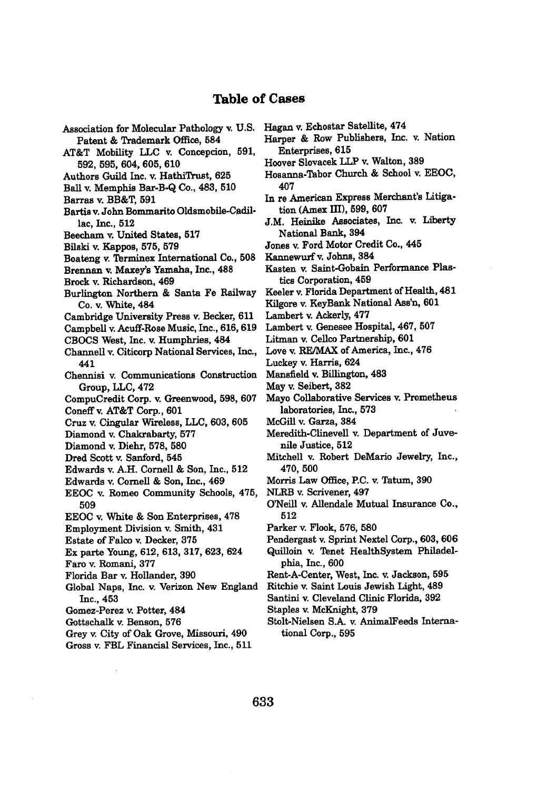#### **Table of Cases**

- Association for Molecular Pathology v. **U.S.**
- Patent **&** Trademark Office, 584
- AT&T Mobility **LLC** v. Concepcion, **591, 592, 595, 604, 605, 610**
- Authors Guild Inc. v. HathiTrust, **625**
- Ball v. Memphis Bar-B-Q Co., 483, **510**
- Barras v. BB&T, **591**
- Bartis v. John Bommarito Oldsmobile-Cadillac, Inc., **512**
- Beecham v. United States, **517**
- Bilski v. Kappos, **575, 579**
- Boateng v. Terminex International Co., **508**
- Brennan v. Maxey's Yamaha, Inc., **488**
- Brock v. Richardson, 469
- Burlington Northern **&** Santa Fe Railway Co. v. White, 484
- Cambridge University Press v. Becker, **611**
- Campbell v. Acuff-Rose Music, Inc., **616, 619**
- **CBOCS** West, Inc. v. Humphries, 484
- Channell v. Citicorp National Services, Inc., 441
- Chennisi v. Communications Construction Group, **LLC,** 472
- CompuCredit Corp. v. Greenwood, **598, 607**
- Coneff v. AT&T Corp., **601**
- Cruz v. Cingular VWireless, **LLC, 603, 605**
- Diamond v. Chakrabarty, **577**
- Diamond v. Diehr, **578, 580**
- Dred Scott v. Sanford, 545
- Edwards v. **A.H.** Cornell **&** Son, Inc., **512**
- Edwards v. Cornell **&** Son, Inc., 469
- **EEOC** v. Romeo Community Schools, 475, **509**
- **EEOC** v. White & Son Enterprises, **478**
- Employment Division v. Smith, 431
- Estate of Falco v. Decker, **375**
- Ex parte Young, **612, 613, 317, 623,** 624
- Faro v. Romani, **377**
- Florida Bar v. Hollander, **390**
- Global Naps, Inc. v. Verizon New England Inc., 453
- Gomez-Perez v. Potter, 484
- Gottschalk v. Benson, **576**
- Grey v. City of Oak Grove, Missouri, 490
- Gross v. FBL Financial Services, Inc., **511**
- Hagan **v.** Echostar Satellite, 474
- Harper & Row Publishers, Inc. v. Nation Enterprises, **615**
- Hoover Slovacek LLP v. Walton, **389**
- Hosanna-Tabor Church **&** School v. **EEOC,** 407
- In re American Express Merchant's Litigation (Amex 111), **599, 607**
- **J.M.** Heinike Associates, Inc. v. Liberty National Bank, **394**
- Jones v. Ford Motor Credit Co., 445
- Kannewurf v. Johns, 384
- Kasten v. Saint-Gobain Performance Plastics Corporation, 459
- Keeler v. Florida Department of Health, 481
- Kilgore v. KeyBank National Ass'n, **601**
- Lambert v. Ackerly, **477**
- Lambert v. Genesee Hospital, 467, **507**
- Litman v. Celco Partnership, **601**
- Love v. RE/MAX of America, Inc., 476
- Luckey v. Harris, 624
- Mansfield v. Billington, 483
- May v. Seibert, **382**
- Mayo Collaborative Services v. Prometheus laboratories, Inc., **573**
- McGill v. Garza, 384
- Meredith-Clinevell v. Department of Juvenile Justice, **512**
- Mitchell v. Robert DeMario Jewelry, Inc., 470, 500
- Morris Law Office, **P.C.** v. Tatum, **390**
- NLRB v. Scrivener, 497
- O'Neill v. Allendale Mutual Insurance Co., **512**
- Parker v. Flook, **576, 580**
- Pendergast v. Sprint Nextel Corp., **603, 606**
- Quilloin v. Tenet HealthSystem Philadelphia, Inc., **600**
- Rent-A-Center, West, Inc. v. Jackson, **595**
- Ritchie v. Saint Louis Jewish Light, 489
- Santini v. Cleveland Clinic Florida, **392**
- Staples v. McKnight, **379**
- Stolt-Nielsen **S.A.** v. AnimalFeeds International Corp., **595**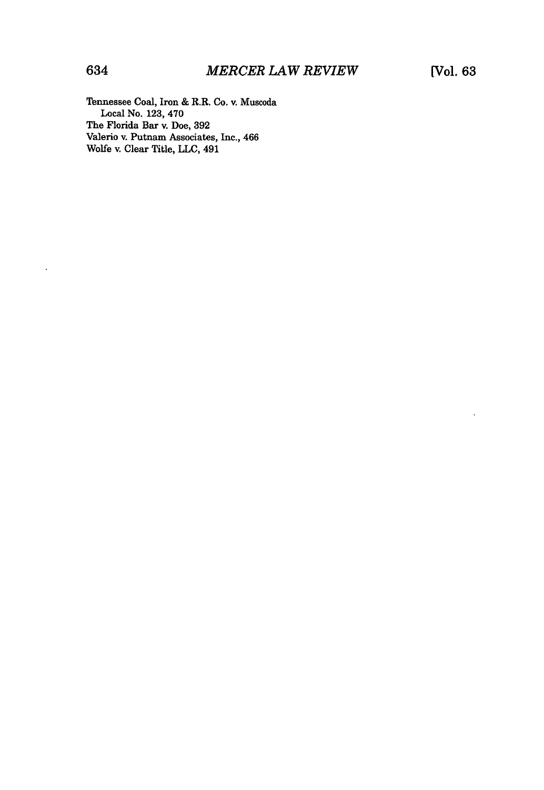l,

Tennessee Coal, Iron & R.R. Co. v. Muscoda Local No. **123,** 470 The Florida Bar v. Doe, **392** Valerio v. Putnam Associates, Inc., 466 Wolfe v. Clear Title, LLC, 491

 $\cdot$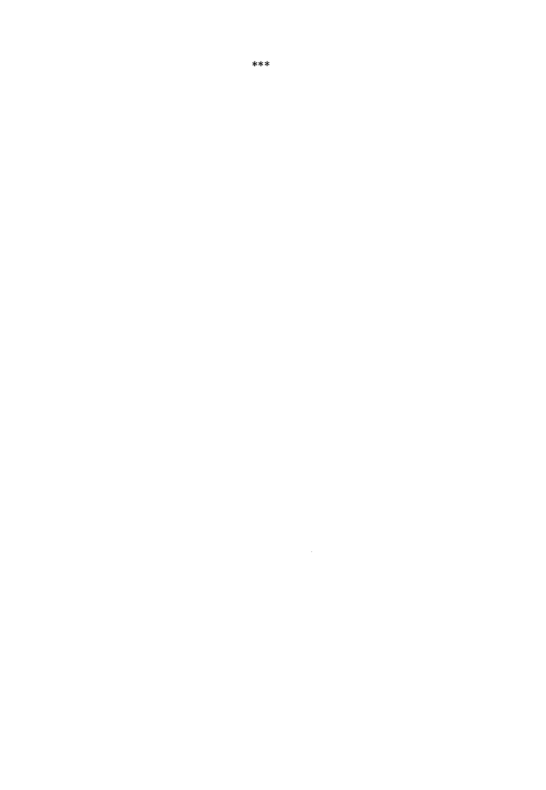$\mathcal{L}^{\text{max}}_{\text{max}}$  and  $\mathcal{L}^{\text{max}}_{\text{max}}$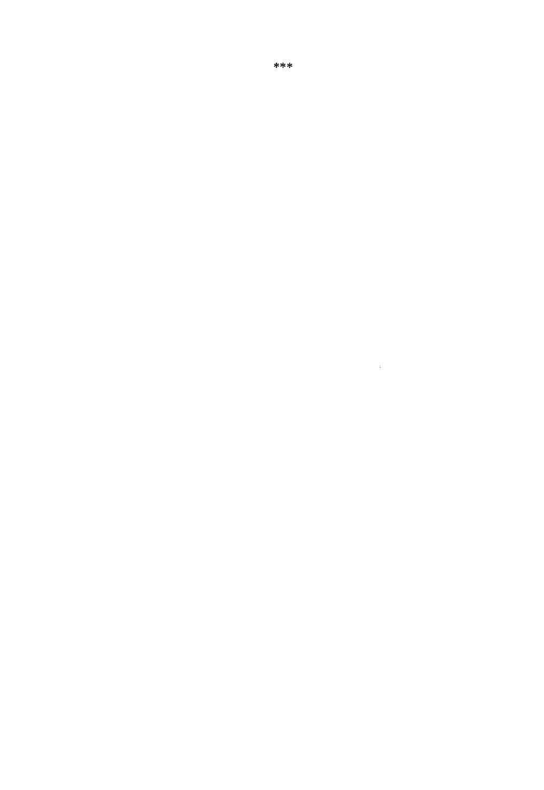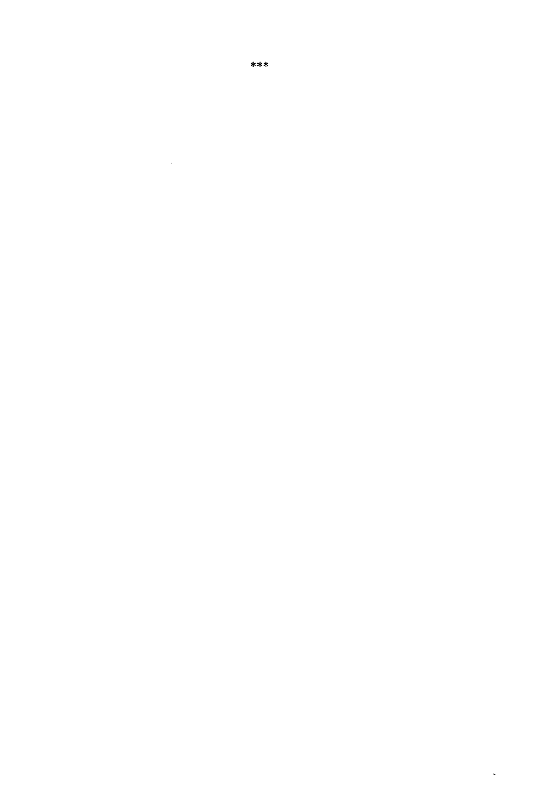

 $\ddot{\phantom{0}}$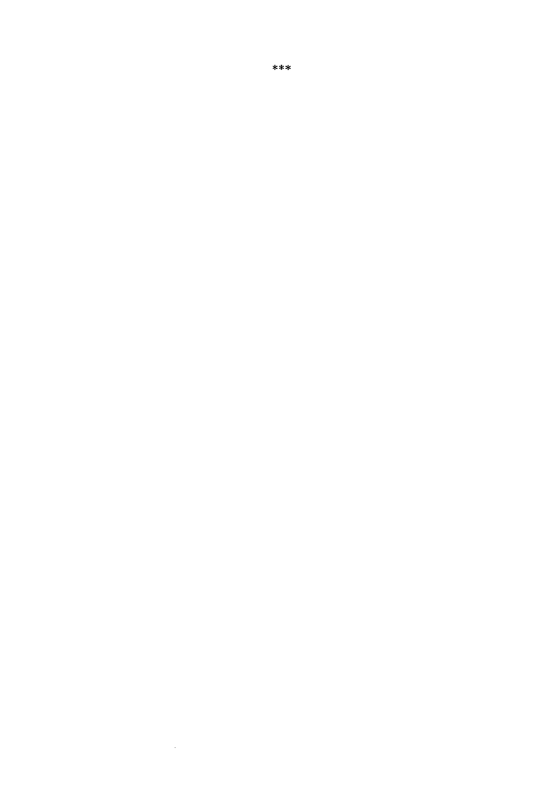$***$ 

 $\sim 10^{-1}$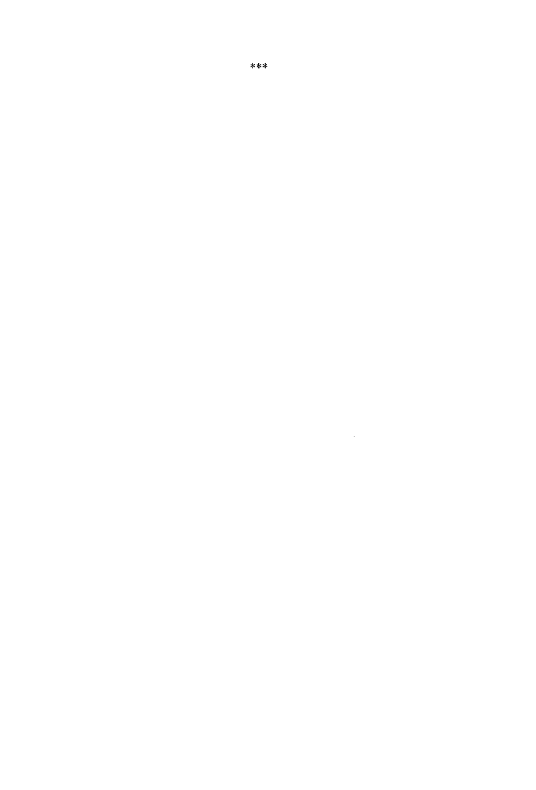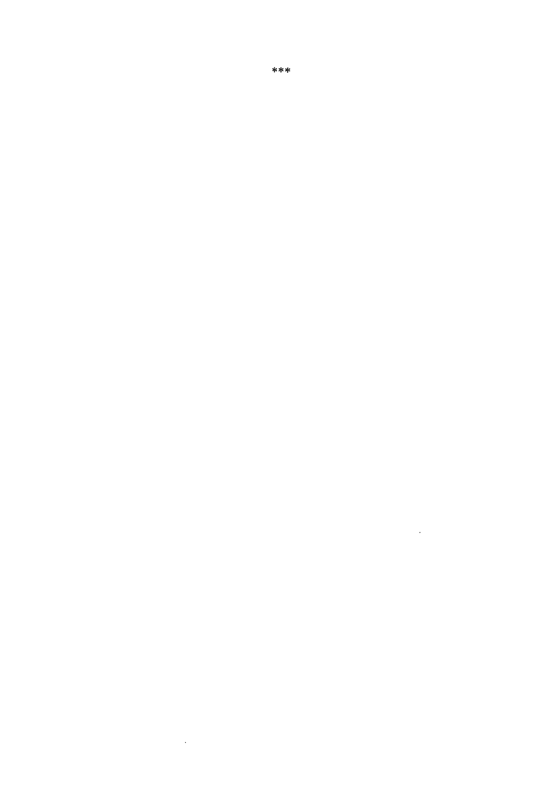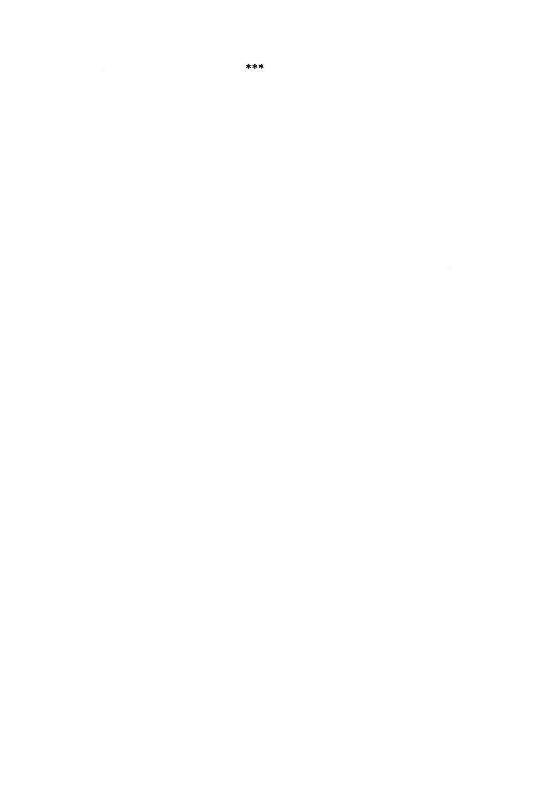\*\*\*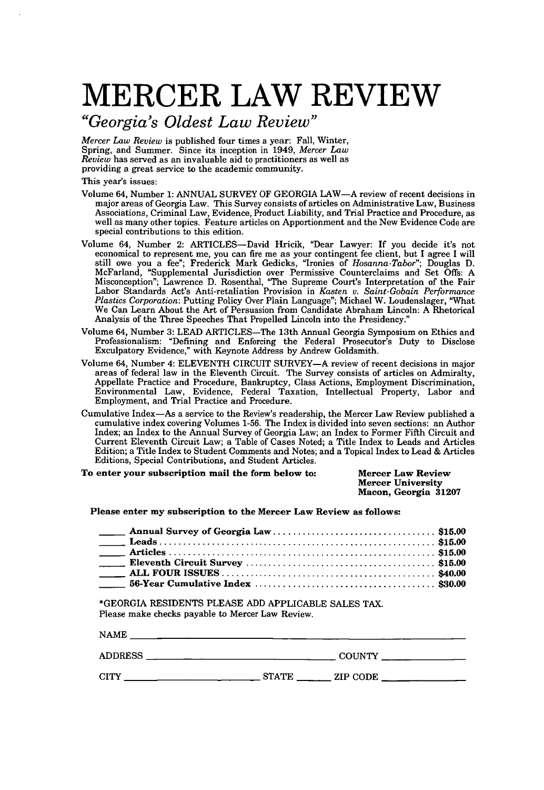#### *"Georgia's Oldest Law Review"*

*Mercer Law Review* is published four times a year: Fall, Winter, Spring, and Summer. Since its inception in 1949, *Mercer Law Review* has served as an invaluable aid to practitioners as well as providing a great service to the academic community.

This year's issues:

- Volume 64, Number 1: ANNUAL SURVEY OF GEORGIA LAW-A review of recent decisions in major areas of Georgia Law. This Survey consists of articles on Administrative Law, Business well as many other topics. Feature articles on Apportionment and the New Evidence Code are special contributions to this edition.
- Volume 64, Number 2: ARTICLES-David Hricik, "Dear Lawyer: If you decide it's not economical to represent me, you can fire me as your contingent fee client, but I agree I will still owe you a fee"; Frederick Mark Gedicks, "Ironies of *Hosanna-Tabor";* Douglas D. McFarland, "Supplemental Jurisdiction over Permissive Counterclaims and Set Offs: A Misconception"; Lawrence D. Rosenthal, "The Supreme Court's Interpretation of the Fair Labor Standards Act's Anti-retaliation Provision in *Kasten v. Saint-Gobain Performance Plastics Corporation:* Putting Policy Over Plain Language"; Michael W. Loudenslager, "What We Can Learn About the Art of Persuasion from Candidate Abraham Lincoln: A Rhetorical Analysis of the Three Speeches That Propelled Lincoln into the Presidency."
- Volume 64, Number 3: LEAD ARTICLES-The 13th Annual Georgia Symposium on Ethics and Professionalism: "Defining and Enforcing the Federal Prosecutor's Duty to Disclose Exculpatory Evidence," with Keynote Address by Andrew Goldsmith.
- Volume 64, Number 4: ELEVENTH CIRCUIT SURVEY-A review of recent decisions in major areas of federal law in the Eleventh Circuit. The Survey consists of articles on Admiralty, Appellate Practice and Procedure, Bankruptcy, Class Actions, Employment Discrimination, Appellate Practice and Procedure, Bankruptcy, Class Actions, Employment Discrimination, Environmental Law, Evidence, Federal Taxation, Intellectual Property, Labor and Employment, and Trial Practice and Procedure.
- Cumulative Index-As a service to the Review's readership, the Mercer Law Review published a cumulative index covering Volumes 1-56. The Index is divided into seven sections: an Author Index; an Index to the Annual Survey of Georgia Law; an Index to Former Fifth Circuit and Current Eleventh Circuit Law; a Table of Cases Noted; a Title Index to Leads and Articles Edition; a Title Index to Student Comments and Notes; and a Topical Index to Lead & Articles Editions, Special Contributions, and Student Articles.

**To enter your subscription mail the form below to: Mercer Law Review**

**Mercer University Macon, Georgia 31207**

**Please enter my subscription to the Mercer Law Review as follows:**

\*GEORGIA RESIDENTS **PLEASE ADD** APPLICABLE **SALES** TAX. Please make checks payable to Mercer Law Review.

**NAME** ADDRESS COUNTY  $CITY$   $ZIP$   $CODE$   $ZIP$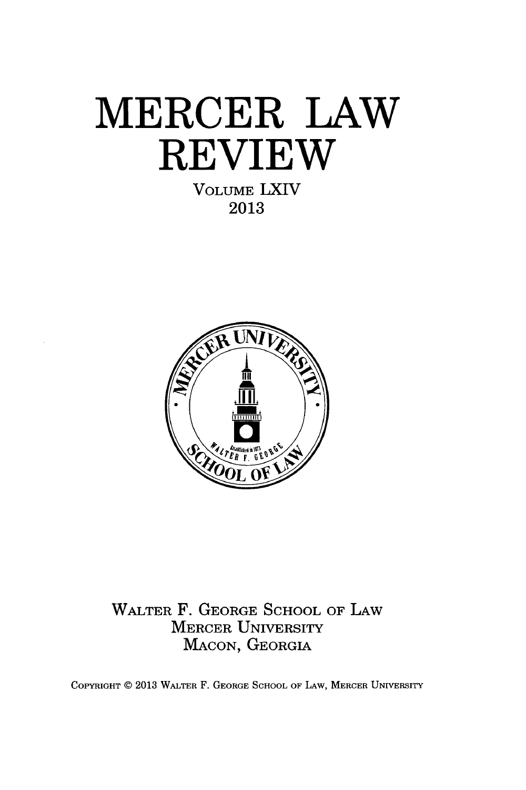**VOLUME** LXIV **2013**



#### WALTER F. **GEORGE SCHOOL** OF LAW MERCER UNIVERSITY **MACON,** GEORGIA

COPYRIGHT **(D** 2013 WALTER F. **GEORGE SCHOOL** OF **LAW,** MERCER UNIVERSITY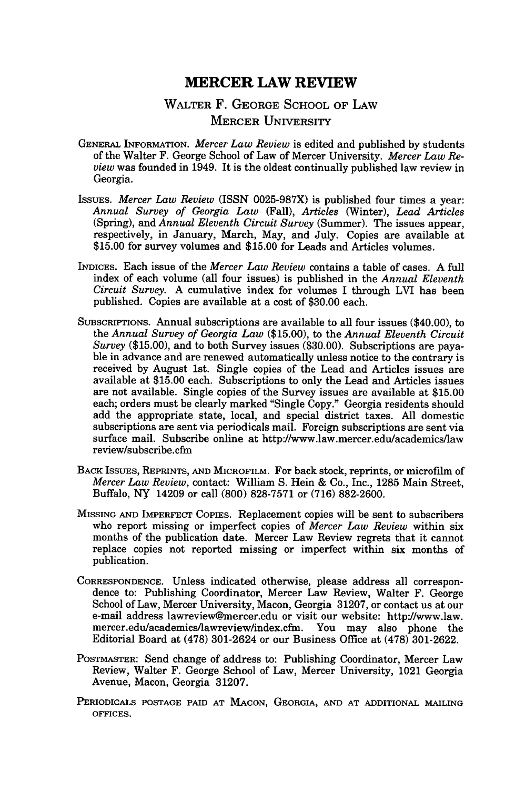#### WALTER F. GEORGE SCHOOL OF LAW MERCER UNIVERSITY

- **GENERAL** INFORMATION. *Mercer Law Review* is edited and published by students of the Walter F. George School of Law of Mercer University. *Mercer Law Review* was founded in 1949. It is the oldest continually published law review in Georgia.
- IssuEs. *Mercer Law Review* (ISSN 0025-987X) is published four times a year: *Annual Survey of Georgia Law* (Fall), *Articles* (Winter), *Lead Articles* (Spring), and *Annual Eleventh Circuit Survey* (Summer). The issues appear, respectively, in January, March, May, and July. Copies are available at \$15.00 for survey volumes and \$15.00 for Leads and Articles volumes.
- INDICES. Each issue of the *Mercer Law Review* contains a table of cases. A full index of each volume (all four issues) is published in the *Annual Eleventh Circuit Survey.* A cumulative index for volumes I through LVI has been published. Copies are available at a cost of \$30.00 each.
- SUBSCRIPTIONS. Annual subscriptions are available to all four issues (\$40.00), to the *Annual Survey of Georgia Law* (\$15.00), to the *Annual Eleventh Circuit Survey* (\$15.00), and to both Survey issues (\$30.00). Subscriptions are payable in advance and are renewed automatically unless notice to the contrary is received by August 1st. Single copies of the Lead and Articles issues are available at \$15.00 each. Subscriptions to only the Lead and Articles issues are not available. Single copies of the Survey issues are available at \$15.00 each; orders must be clearly marked "Single Copy." Georgia residents should add the appropriate state, local, and special district taxes. All domestic subscriptions are sent via periodicals mail. Foreign subscriptions are sent via surface mail. Subscribe online at http://www.law.mercer.edu/academics/law review/subscribe.cfm
- BACK IssuEs, REPRINTS, **AND** MICROFILM. For back stock, reprints, or microfilm of *Mercer Law Review,* contact: William S. Hein & Co., Inc., 1285 Main Street, Buffalo, **NY** 14209 or call (800) 828-7571 or (716) 882-2600.
- MISSING **AND** IMPERFECT COPIES. Replacement copies will be sent to subscribers who report missing or imperfect copies of *Mercer Law Review* within six months of the publication date. Mercer Law Review regrets that it cannot replace copies not reported missing or imperfect within six months of publication.
- **CORRESPONDENCE.** Unless indicated otherwise, please address all correspondence to: Publishing Coordinator, Mercer Law Review, Walter F. George School of Law, Mercer University, Macon, Georgia 31207, or contact us at our e-mail address lawreview@mercer.edu or visit our website: http://www.law. mercer.edu/academics/lawreview/index.cfm. You may also phone the Editorial Board at (478) 301-2624 or our Business Office at (478) 301-2622.
- POSTMASTER: Send change of address to: Publishing Coordinator, Mercer Law Review, Walter F. George School of Law, Mercer University, 1021 Georgia Avenue, Macon, Georgia 31207.
- PERIODICALS **POSTAGE PAID AT MACON,** GEORGIA, **AND AT** ADDITIONAL MAILING OFFICES.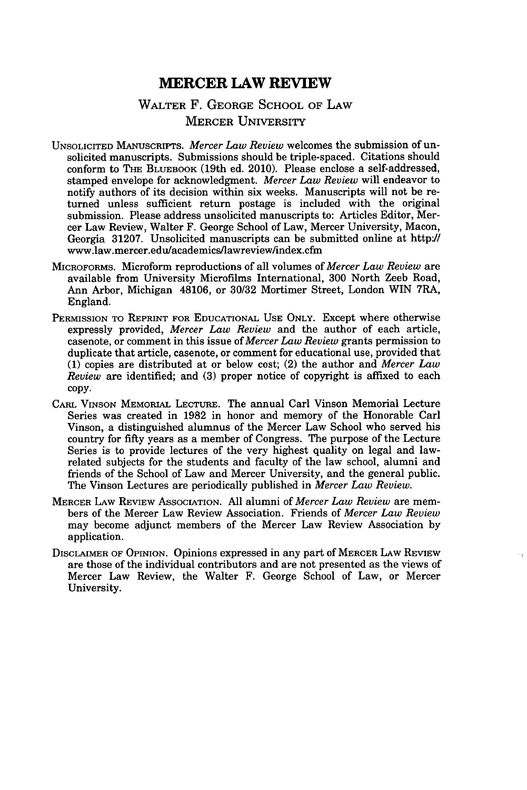#### WALTER F. GEORGE SCHOOL OF LAW MERCER UNIVERSITY

- UNSOLICITED MANUSCRIPTS. *Mercer Law Review* welcomes the submission of unsolicited manuscripts. Submissions should be triple-spaced. Citations should conform to **THE** BLUEBOOK (19th ed. 2010). Please enclose a self-addressed, stamped envelope for acknowledgment. *Mercer Law Review* will endeavor to notify authors of its decision within six weeks. Manuscripts will not be returned unless sufficient return postage is included with the original submission. Please address unsolicited manuscripts to: Articles Editor, Mercer Law Review, Walter F. George School of Law, Mercer University, Macon, Georgia 31207. Unsolicited manuscripts can be submitted online at http'/ www.law.mercer.edu/academics/lawreview/index.cfm
- MICROFORMS. Microform reproductions of all volumes of *Mercer Law Review* are available from University Microfilms International, 300 North Zeeb Road, Ann Arbor, Michigan 48106, or 30/32 Mortimer Street, London WIN 7RA, England.
- PERMISSION TO REPRINT FOR **EDUCATIONAL USE** ONLY. Except where otherwise expressly provided, *Mercer Law Review* and the author of each article, casenote, or comment in this issue of *Mercer Law Review* grants permission to duplicate that article, casenote, or comment for educational use, provided that (1) copies are distributed at or below cost; (2) the author and *Mercer Law Review* are identified; and (3) proper notice of copyright is affixed to each copy.
- CARL **VINSON** MEMORIAL **LECTURE.** The annual Carl Vinson Memorial Lecture Series was created in 1982 in honor and memory of the Honorable Carl Vinson, a distinguished alumnus of the Mercer Law School who served his country for fifty years as a member of Congress. The purpose of the Lecture Series is to provide lectures of the very highest quality on legal and lawrelated subjects for the students and faculty of the law school, alumni and friends of the School of Law and Mercer University, and the general public. The Vinson Lectures are periodically published in *Mercer Law Review.*
- MERCER LAW REVIEW ASSOCIATION. All alumni of *Mercer Law Review* are members of the Mercer Law Review Association. Friends of *Mercer Law Review* may become adjunct members of the Mercer Law Review Association by application.
- DISCLAIMER OF OPINION. Opinions expressed in any part of MERCER LAW REVIEW are those of the individual contributors and are not presented as the views of Mercer Law Review, the Walter F. George School of Law, or Mercer University.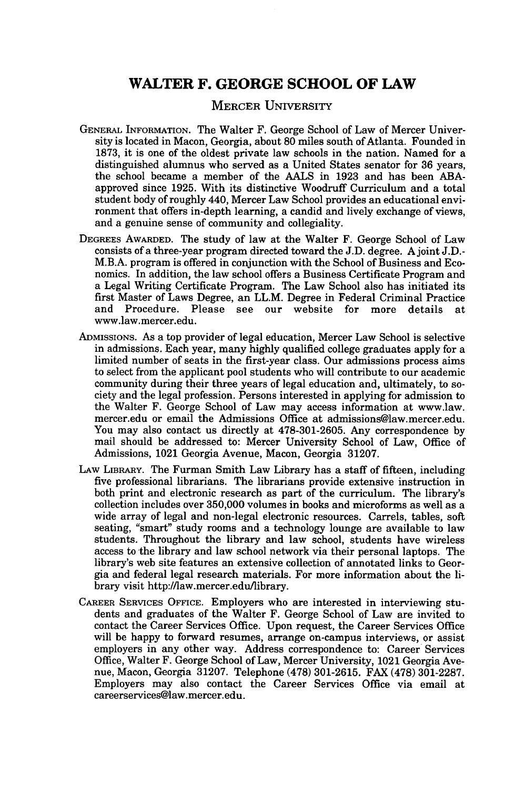#### **WALTER F. GEORGE SCHOOL OF LAW**

#### MERCER UNIVERSITY

- **GENERAL INFORMATION.** The Walter F. George School of Law of Mercer University is located in Macon, Georgia, about **80** miles south of Atlanta. Founded in **1873,** it is one of the oldest private law schools in the nation. Named for a distinguished alumnus who served as a United States senator for **36** years, the school became a member of the **AALS** in **1923** and has been **ABA**approved since **1925.** With its distinctive Woodruff Curriculum and a total student body of roughly 440, Mercer Law School provides an educational environment that offers in-depth learning, a candid and lively exchange of views, and a genuine sense of community and collegiality.
- DEGREES **AWARDED.** The study of law at the Walter F. George School of Law consists of a three-year program directed toward the **J.D.** degree. A joint **J.D.-** M.B.A. program is offered in conjunction with the School of Business and Economics. In addition, the law school offers a Business Certificate Program and a Legal Writing Certificate Program. The Law School also has initiated its first Master of Laws Degree, an LL.M. Degree in Federal Criminal Practice Procedure. Please see our website for more details at www.law.mercer.edu.
- **ADMISSIONS.** As a top provider of legal education, Mercer Law School is selective in admissions. Each year, many **highly** qualified college graduates apply for a limited number of seats in the first-year class. Our admissions process aims to select from the applicant pool students who will contribute to our academic community during their three years of legal education and, ultimately, to society and the legal profession. Persons interested in applying for admission to the Walter F. George School of Law may access information at www.law. mercer.edu or email the Admissions Office at admissions@law.mercer.edu. You may also contact us directly at **478-301-2605.** Any correspondence **by** mail should be addressed to: Mercer University School of Law, Office of Admissions, 1021 Georgia Avenue, Macon, Georgia **31207.**
- LAW **LIBRARY.** The Furman Smith Law Library has a staff of fifteen, including five professional librarians. The librarians provide extensive instruction in both print and electronic research as part of the curriculum. The library's collection includes over **350,000** volumes in books and microforms as well as a wide array of legal and non-legal electronic resources. Carrels, tables, soft seating, "smart" study rooms and a technology lounge are available to law students. Throughout the library and law school, students have wireless access to the library and law school network via their personal laptops. The library's web site features an extensive collection of annotated links to Georgia and federal legal research materials. For more information about the library visit http://law.mercer.edu/library.
- **CAREER SERVICES OFFICE.** Employers who are interested in interviewing students and graduates of the Walter F. George School of Law are invited to contact the Career Services Office. Upon request, the Career Services Office will be happy to forward resumes, arrange on-campus interviews, or assist employers in any other way. Address correspondence to: Career Services Office, Walter F. George School of Law, Mercer University, 1021 Georgia Avenue, Macon, Georgia **31207.** Telephone **(478) 301-2615.** FAX **(478) 301-2287.** Employers may also contact the Career Services Office via email at careerservices@law.mercer.edu.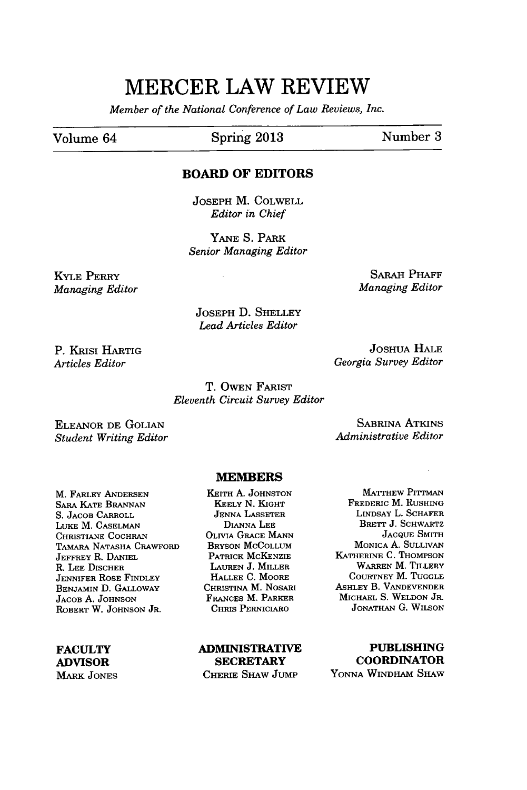*Member of the National Conference of Law Reviews, Inc.*

#### Volume 64 Spring **2013** Number **3**

#### **BOARD OF EDITORS**

**JOSEPH** M. COLWELL *Editor in Chief*

YANE S. PARK *Senior Managing Editor*

KYLE PERRY *Managing Editor*

SARAH PHAFF *Managing Editor*

JOSHUA **HALE**

**JOSEPH D.** SHELLEY *Lead Articles Editor*

P. KRISI HARTIG *Articles Editor*

*Georgia Survey Editor*

T. **OWEN** FARIST *Eleventh Circuit Survey Editor*

**ELEANOR DE GOLIAN** *Student Writing Editor*

SABRINA ATKINS *Administrative Editor*

**MEMBERS**

M. FARLEY ANDERSEN SARA KATE BRANNAN S. **JACOB** CARROLL **LUKE** M. **CASELMAN** CHRISTIANE COCHRAN TAMARA NATASHA CRAwFoRD JEFFREY R. DANIEL R. **LEE** DISCHER **JENNIFER** ROSE FINDLEY **BENJAMIN D. GALLOWAY JACOB A. JOHNSON** ROBERT W. JOHNSON JR.

**FACULTY ADVISOR MARK JONES**

KEITH **A. JOHNSTON KEELY N.** KIGHT **JENNA LASSETER** DIANNA **LEE** OLIVIA GRACE MANN BRYSON MCCOLLUM PATRICK MCKENZIE LAUREN J. MILLER HALLEE **C.** MOORE CHRISTINA M. NoSARI **FRANCES** M. PARKER CHRIS PERNICIARO

**ADMINISTRATIVE SECRETARY CHERIE SHAW JUMP**

MATTHEW **PITTMAN** FREDERIC M. **RUSHING** LINDSAY L. SCHAFER **BRETT J.** SCHWARTZ JACQUE SMITH MONICA A. SULLIVAN KATHERINE C. THOMPSON WARREN M. TILLERY COURTNEY M. TUGGLE **ASHLEY** B. VANDEVENDER MICHAEL S. WELDON JR. JONATHAN G. WILSON

**PUBLISHING COORDINATOR** YONNA WINDHAM SHAW